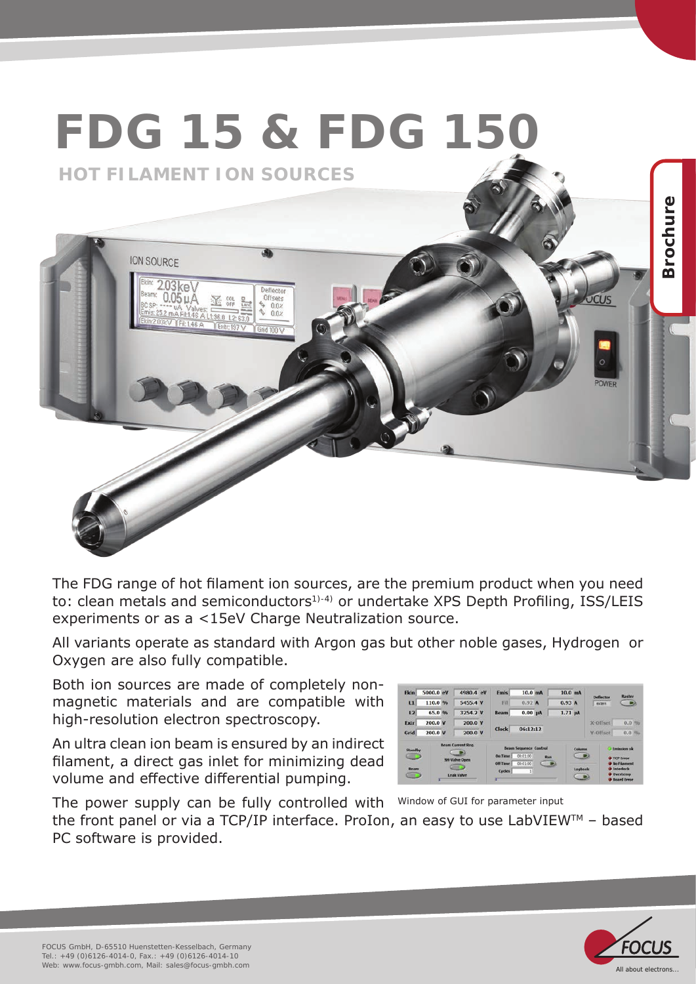

The FDG range of hot filament ion sources, are the premium product when you need to: clean metals and semiconductors<sup>1)-4)</sup> or undertake XPS Depth Profiling, ISS/LEIS experiments or as a <15eV Charge Neutralization source.

All variants operate as standard with Argon gas but other noble gases, Hydrogen or Oxygen are also fully compatible.

Both ion sources are made of completely nonmagnetic materials and are compatible with high-resolution electron spectroscopy.

An ultra clean ion beam is ensured by an indirect filament, a direct gas inlet for minimizing dead volume and effective differential pumping.

| Standby<br>$\bullet$<br><b>Beam</b><br>œ |           | <b>Beam Current Reg.</b><br><b>SH-Valve Open</b><br>ana:<br><b>Leak Valve</b> | <b>Do Time</b><br>Off Time<br>Cycles | <b>Beam Sequence Control</b><br>00:01:00<br>00:01:00<br>$\mathbb{1}$ | Run<br>œ |                   | Column<br>œ<br>Logbook<br>$\blacksquare$ |                 | <b>Emission</b> ok<br><b>O</b> TCP Error<br><b>C</b> No Filament<br><b>O</b> Interlock<br><b>Overtemp</b><br><b>C</b> Roard Frror |
|------------------------------------------|-----------|-------------------------------------------------------------------------------|--------------------------------------|----------------------------------------------------------------------|----------|-------------------|------------------------------------------|-----------------|-----------------------------------------------------------------------------------------------------------------------------------|
| Grid                                     | 200.0 V   | 200.0 V                                                                       | 06:12:12<br>Clock                    |                                                                      |          |                   |                                          | <b>Y-Offset</b> | 0.01%                                                                                                                             |
| Extr                                     | 200.0 V   | 200.0 V                                                                       |                                      |                                                                      |          |                   |                                          | X-Offset        | 0.0%                                                                                                                              |
| $\overline{2}$                           | 65.0 %    | 3254.2 V                                                                      | Beam                                 | $0.00$ µA                                                            |          | $1.71 \mu A$      |                                          |                 |                                                                                                                                   |
| $\mathbf{L}$                             | 110.0 %   | 5455.4 V                                                                      | Fil                                  | 0.92 <sub>h</sub>                                                    |          | 0.93A             |                                          | extern          | G D                                                                                                                               |
| <b>Fkin</b>                              | 5000.0 eV | 4980.4 eV                                                                     | <b>Fmis</b>                          | $10.0$ mA                                                            |          | 10.0 <sub>m</sub> |                                          | Deflector       | Raster                                                                                                                            |

The power supply can be fully controlled with Window of GUI for parameter input the front panel or via a TCP/IP interface. ProIon, an easy to use LabVIEWTM – based PC software is provided.

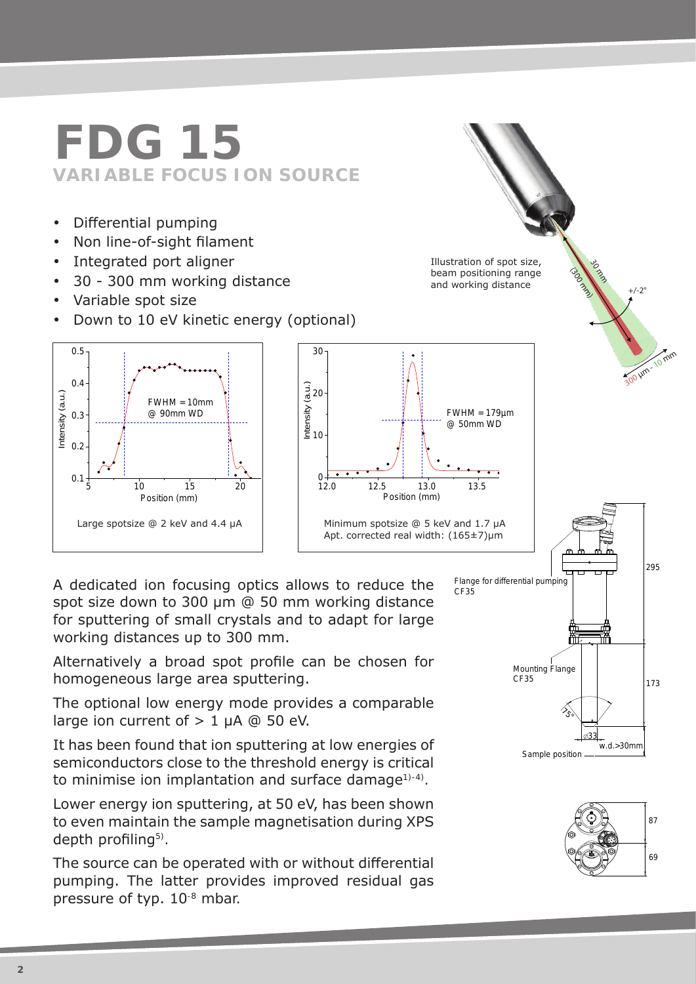## **FDG 15 VARIABLE FOCUS ION SOURCE**

- Differential pumping
- Non line-of-sight filament
- Integrated port aligner
- 30 300 mm working distance
- Variable spot size
- Down to 10 eV kinetic energy (optional)



A dedicated ion focusing optics allows to reduce the spot size down to 300 µm @ 50 mm working distance for sputtering of small crystals and to adapt for large working distances up to 300 mm.

Alternatively a broad spot profile can be chosen for homogeneous large area sputtering.

The optional low energy mode provides a comparable 87 large ion current of  $> 1$  uA @ 50 eV.

It has been found that ion sputtering at low energies of semiconductors close to the threshold energy is critical to minimise ion implantation and surface damage<sup>1)-4)</sup>.

Lower energy ion sputtering, at 50 eV, has been shown to even maintain the sample magnetisation during XPS depth profiling<sup>5)</sup>.

The source can be operated with or without differential pumping. The latter provides improved residual gas pressure of typ. 10-8 mbar.



30 March 1990

 $+/-2$ °

 $\sqrt{n}$ 

Illustration of spot size, beam positioning range and working distance

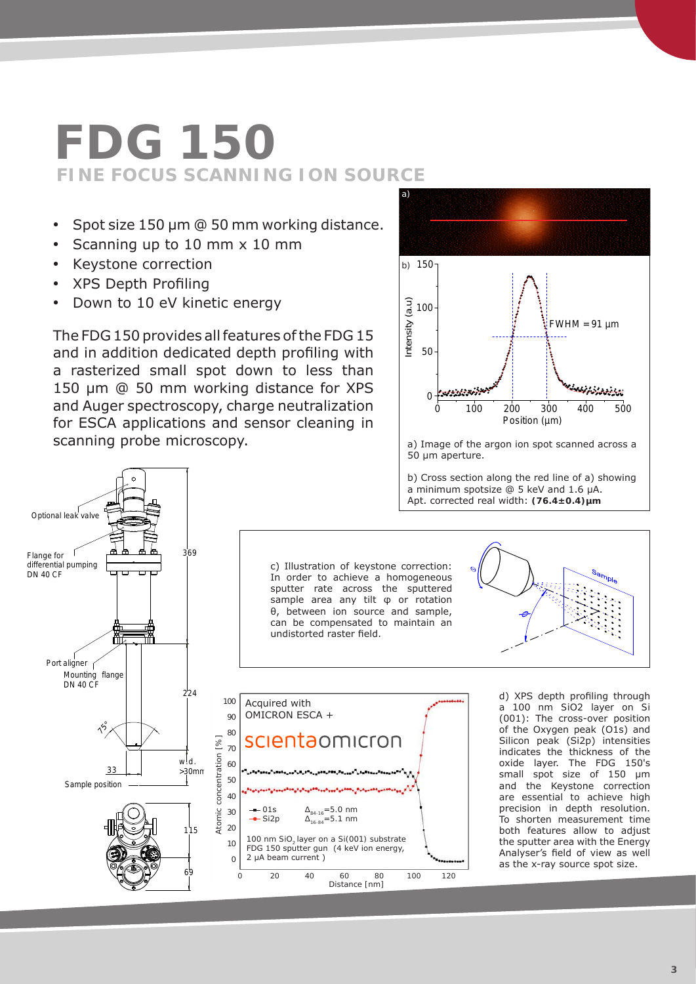## **FDG 150 FINE FOCUS SCANNING ION SOURCE**

- Spot size 150 µm @ 50 mm working distance.
- Scanning up to 10 mm x 10 mm
- Keystone correction
- XPS Depth Profiling
- Down to 10 eV kinetic energy

The FDG 150 provides all features of the FDG 15 and in addition dedicated depth profiling with a rasterized small spot down to less than 150 μm @ 50 mm working distance for XPS and Auger spectroscopy, charge neutralization for ESCA applications and sensor cleaning in scanning probe microscopy.



a) Image of the argon ion spot scanned across a 50 µm aperture.

b) Cross section along the red line of a) showing a minimum spotsize @ 5 keV and 1.6 µA. Apt. corrected real width: **(76.4±0.4)µm**